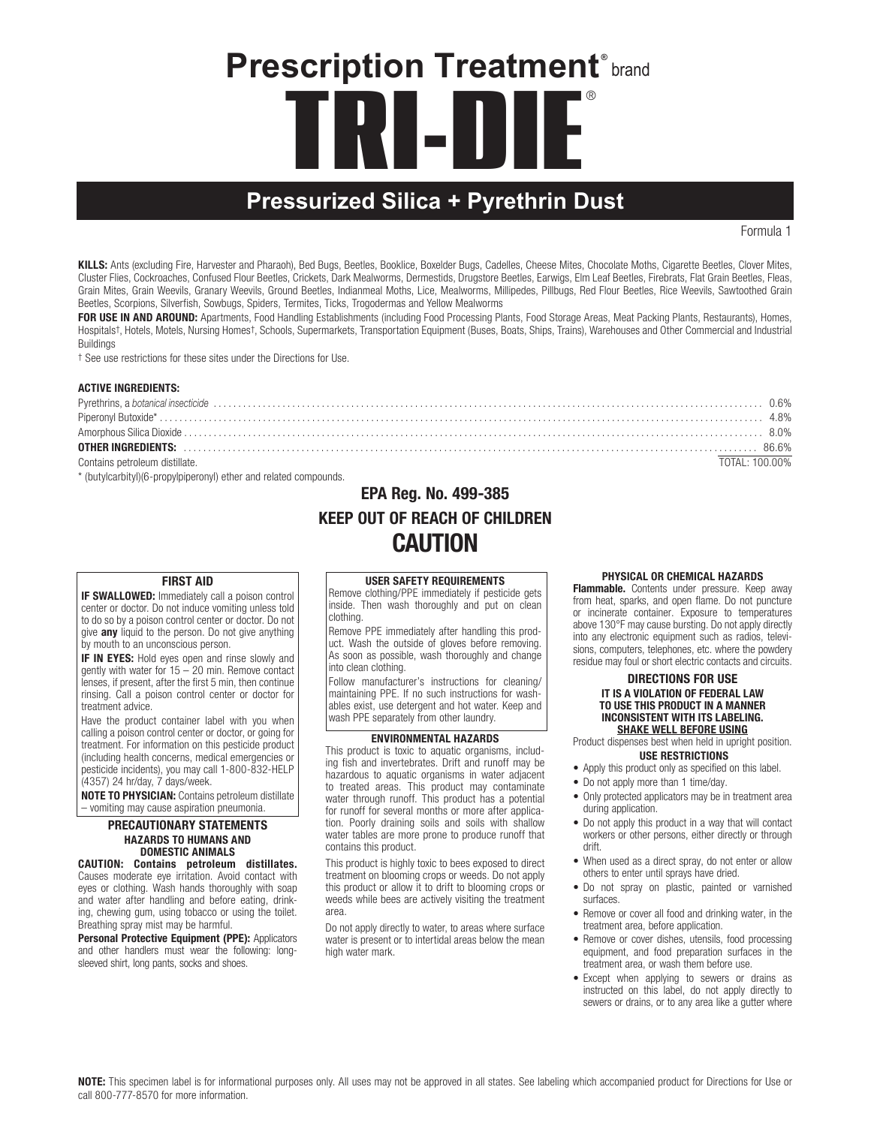# **TRI-DIE** ® **Prescription Treatment®** brand

# **Pressurized Silica + Pyrethrin Dust**

Formula 1

KILLS: Ants (excluding Fire, Harvester and Pharaoh), Bed Bugs, Beetles, Booklice, Boxelder Bugs, Cadelles, Cheese Mites, Chocolate Moths, Cigarette Beetles, Clover Mites, Cluster Flies, Cockroaches, Confused Flour Beetles, Crickets, Dark Mealworms, Dermestids, Drugstore Beetles, Earwigs, Elm Leaf Beetles, Firebrats, Flat Grain Beetles, Fleas, Grain Mites, Grain Weevils, Granary Weevils, Ground Beetles, Indianmeal Moths, Lice, Mealworms, Millipedes, Pillbugs, Red Flour Beetles, Rice Weevils, Sawtoothed Grain Beetles, Scorpions, Silverfish, Sowbugs, Spiders, Termites, Ticks, Trogodermas and Yellow Mealworms

FOR USE IN AND AROUND: Apartments, Food Handling Establishments (including Food Processing Plants, Food Storage Areas, Meat Packing Plants, Restaurants), Homes, Hospitals†, Hotels, Motels, Nursing Homes†, Schools, Supermarkets, Transportation Equipment (Buses, Boats, Ships, Trains), Warehouses and Other Commercial and Industrial **Buildings** 

† See use restrictions for these sites under the Directions for Use.

#### ACTIVE INGREDIENTS:

|                                                                                                                | በ.6% |
|----------------------------------------------------------------------------------------------------------------|------|
|                                                                                                                |      |
|                                                                                                                |      |
| OTHER INGREDIENTS: www.communication.communications.com/www.communications.com/www.communications.com/www.comm |      |
| Contains petroleum distillate.<br>TOTAL: 100.00%                                                               |      |

\* (butylcarbityl)(6-propylpiperonyl) ether and related compounds.

# EPA Reg. No. 499-385 KEEP OUT OF REACH OF CHILDREN CAUTION

#### FIRST AID

**IF SWALLOWED:** Immediately call a poison control center or doctor. Do not induce vomiting unless told to do so by a poison control center or doctor. Do not give **any** liquid to the person. Do not give anything by mouth to an unconscious person.

**IF IN EYES:** Hold eyes open and rinse slowly and gently with water for 15 – 20 min. Remove contact lenses, if present, after the first 5 min, then continue rinsing. Call a poison control center or doctor for treatment advice.

Have the product container label with you when calling a poison control center or doctor, or going for treatment. For information on this pesticide product (including health concerns, medical emergencies or pesticide incidents), you may call 1-800-832-HELP (4357) 24 hr/day, 7 days/week.

NOTE TO PHYSICIAN: Contains petroleum distillate – vomiting may cause aspiration pneumonia.

#### PRECAUTIONARY STATEMENTS HAZARDS TO HUMANS AND DOMESTIC ANIMALS

CAUTION: Contains petroleum distillates. Causes moderate eye irritation. Avoid contact with eyes or clothing. Wash hands thoroughly with soap and water after handling and before eating, drinking, chewing gum, using tobacco or using the toilet. Breathing spray mist may be harmful.

Personal Protective Equipment (PPE): Applicators and other handlers must wear the following: longsleeved shirt, long pants, socks and shoes.

USER SAFETY REQUIREMENTS Remove clothing/PPE immediately if pesticide gets inside. Then wash thoroughly and put on clean clothing.

Remove PPE immediately after handling this product. Wash the outside of gloves before removing. As soon as possible, wash thoroughly and change into clean clothing.

Follow manufacturer's instructions for cleaning/ maintaining PPE. If no such instructions for washables exist, use detergent and hot water. Keep and wash PPE separately from other laundry.

### ENVIRONMENTAL HAZARDS

This product is toxic to aquatic organisms, including fish and invertebrates. Drift and runoff may be hazardous to aquatic organisms in water adjacent to treated areas. This product may contaminate water through runoff. This product has a potential for runoff for several months or more after application. Poorly draining soils and soils with shallow water tables are more prone to produce runoff that contains this product.

This product is highly toxic to bees exposed to direct treatment on blooming crops or weeds. Do not apply this product or allow it to drift to blooming crops or weeds while bees are actively visiting the treatment area.

Do not apply directly to water, to areas where surface water is present or to intertidal areas below the mean high water mark.

#### PHYSICAL OR CHEMICAL HAZARDS

Flammable. Contents under pressure. Keep away from heat, sparks, and open flame. Do not puncture or incinerate container. Exposure to temperatures above 130°F may cause bursting. Do not apply directly into any electronic equipment such as radios, televisions, computers, telephones, etc. where the powdery residue may foul or short electric contacts and circuits.

#### DIRECTIONS FOR USE IT IS A VIOLATION OF FEDERAL LAW TO USE THIS PRODUCT IN A MANNER INCONSISTENT WITH ITS LABELING. SHAKE WELL BEFORE USING

Product dispenses best when held in upright position. USE RESTRICTIONS

- Apply this product only as specified on this label.
- Do not apply more than 1 time/day.
- Only protected applicators may be in treatment area during application.
- Do not apply this product in a way that will contact workers or other persons, either directly or through drift.
- When used as a direct spray, do not enter or allow others to enter until sprays have dried.
- • Do not spray on plastic, painted or varnished surfaces.
- Remove or cover all food and drinking water, in the treatment area, before application.
- Remove or cover dishes, utensils, food processing equipment, and food preparation surfaces in the treatment area, or wash them before use.
- Except when applying to sewers or drains as instructed on this label, do not apply directly to sewers or drains, or to any area like a gutter where